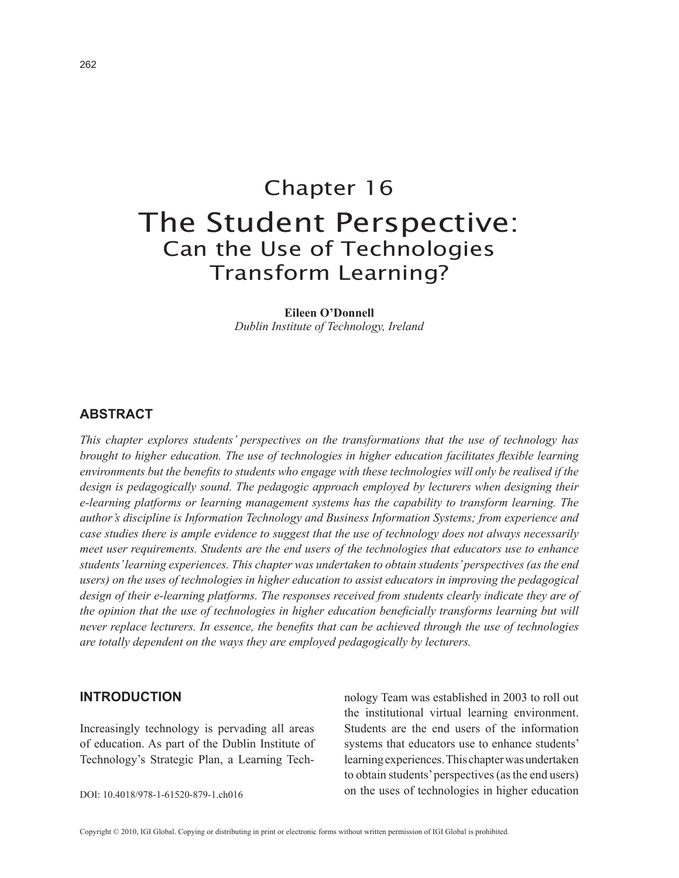# Chapter 16 The Student Perspective: Can the Use of Technologies Transform Learning?

## **Eileen O'Donnell** *Dublin Institute of Technology, Ireland*

# **Abstract**

*This chapter explores students' perspectives on the transformations that the use of technology has brought to higher education. The use of technologies in higher education facilitates flexible learning environments but the benefits to students who engage with these technologies will only be realised if the design is pedagogically sound. The pedagogic approach employed by lecturers when designing their e-learning platforms or learning management systems has the capability to transform learning. The author's discipline is Information Technology and Business Information Systems; from experience and case studies there is ample evidence to suggest that the use of technology does not always necessarily meet user requirements. Students are the end users of the technologies that educators use to enhance students' learning experiences. This chapter was undertaken to obtain students' perspectives (as the end users) on the uses of technologies in higher education to assist educators in improving the pedagogical design of their e-learning platforms. The responses received from students clearly indicate they are of the opinion that the use of technologies in higher education beneficially transforms learning but will never replace lecturers. In essence, the benefits that can be achieved through the use of technologies are totally dependent on the ways they are employed pedagogically by lecturers.*

# **INTRODUCTION**

Increasingly technology is pervading all areas of education. As part of the Dublin Institute of Technology's Strategic Plan, a Learning Tech-

DOI: 10.4018/978-1-61520-879-1.ch016

nology Team was established in 2003 to roll out the institutional virtual learning environment. Students are the end users of the information systems that educators use to enhance students' learning experiences. This chapter was undertaken to obtain students' perspectives (as the end users) on the uses of technologies in higher education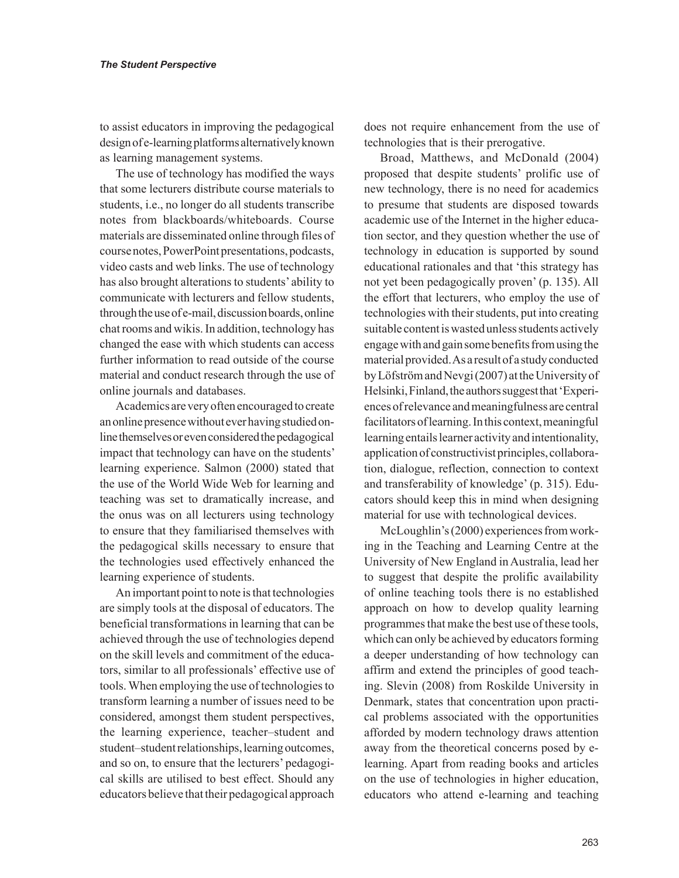to assist educators in improving the pedagogical design of e-learning platforms alternatively known as learning management systems.

The use of technology has modified the ways that some lecturers distribute course materials to students, i.e., no longer do all students transcribe notes from blackboards/whiteboards. Course materials are disseminated online through files of course notes, PowerPoint presentations, podcasts, video casts and web links. The use of technology has also brought alterations to students' ability to communicate with lecturers and fellow students, through the use of e-mail, discussion boards, online chat rooms and wikis. In addition, technology has changed the ease with which students can access further information to read outside of the course material and conduct research through the use of online journals and databases.

Academics are very often encouraged to create an online presence without ever having studied online themselves or even considered the pedagogical impact that technology can have on the students' learning experience. Salmon (2000) stated that the use of the World Wide Web for learning and teaching was set to dramatically increase, and the onus was on all lecturers using technology to ensure that they familiarised themselves with the pedagogical skills necessary to ensure that the technologies used effectively enhanced the learning experience of students.

An important point to note is that technologies are simply tools at the disposal of educators. The beneficial transformations in learning that can be achieved through the use of technologies depend on the skill levels and commitment of the educators, similar to all professionals' effective use of tools. When employing the use of technologies to transform learning a number of issues need to be considered, amongst them student perspectives, the learning experience, teacher–student and student–student relationships, learning outcomes, and so on, to ensure that the lecturers' pedagogical skills are utilised to best effect. Should any educators believe that their pedagogical approach

does not require enhancement from the use of technologies that is their prerogative.

Broad, Matthews, and McDonald (2004) proposed that despite students' prolific use of new technology, there is no need for academics to presume that students are disposed towards academic use of the Internet in the higher education sector, and they question whether the use of technology in education is supported by sound educational rationales and that 'this strategy has not yet been pedagogically proven' (p. 135). All the effort that lecturers, who employ the use of technologies with their students, put into creating suitable content is wasted unless students actively engage with and gain some benefits from using the material provided. As a result of a study conducted by Löfström and Nevgi (2007) at the University of Helsinki, Finland, the authors suggest that 'Experiences of relevance and meaningfulness are central facilitators of learning. In this context, meaningful learning entails learner activity and intentionality, application of constructivist principles, collaboration, dialogue, reflection, connection to context and transferability of knowledge' (p. 315). Educators should keep this in mind when designing material for use with technological devices.

McLoughlin's (2000) experiences from working in the Teaching and Learning Centre at the University of New England in Australia, lead her to suggest that despite the prolific availability of online teaching tools there is no established approach on how to develop quality learning programmes that make the best use of these tools, which can only be achieved by educators forming a deeper understanding of how technology can affirm and extend the principles of good teaching. Slevin (2008) from Roskilde University in Denmark, states that concentration upon practical problems associated with the opportunities afforded by modern technology draws attention away from the theoretical concerns posed by elearning. Apart from reading books and articles on the use of technologies in higher education, educators who attend e-learning and teaching